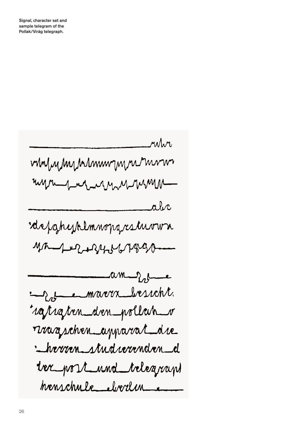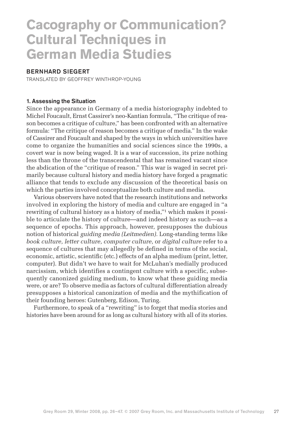# **Cacography or Communication? Cultural Techniques in German Media Studies**

# **BERNHARD SIEGERT**

TRANSLATED BY GEOFFREY WINTHROP-YOUNG

### **1. Assessing the Situation**

Since the appearance in Germany of a media historiography indebted to Michel Foucault, Ernst Cassirer's neo-Kantian formula, "The critique of reason becomes a critique of culture," has been confronted with an alternative formula: "The critique of reason becomes a critique of media." In the wake of Cassirer and Foucault and shaped by the ways in which universities have come to organize the humanities and social sciences since the 1990s, a covert war is now being waged. It is a war of succession, its prize nothing less than the throne of the transcendental that has remained vacant since the abdication of the "critique of reason." This war is waged in secret primarily because cultural history and media history have forged a pragmatic alliance that tends to exclude any discussion of the theoretical basis on which the parties involved conceptualize both culture and media.

Various observers have noted that the research institutions and networks involved in exploring the history of media and culture are engaged in "a rewriting of cultural history as a history of media,"1 which makes it possible to articulate the history of culture—and indeed history as such—as a sequence of epochs. This approach, however, presupposes the dubious notion of historical *guiding media (Leitmedien).* Long-standing terms like *book culture, letter culture, computer culture,* or *digital culture* refer to a sequence of cultures that may allegedly be defined in terms of the social, economic, artistic, scientific (etc.) effects of an alpha medium (print, letter, computer). But didn't we have to wait for McLuhan's medially produced narcissism, which identifies a contingent culture with a specific, subsequently canonized guiding medium, to know what these guiding media were, or are? To observe media as factors of cultural differentiation already presupposes a historical canonization of media and the mythification of their founding heroes: Gutenberg, Edison, Turing.

Furthermore, to speak of a "rewriting" is to forget that media stories and histories have been around for as long as cultural history with all of its stories.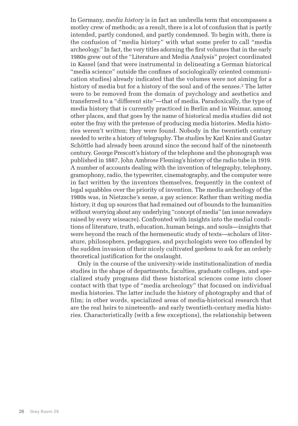In Germany, *media history* is in fact an umbrella term that encompasses a motley crew of methods; as a result, there is a lot of confusion that is partly intended, partly condoned, and partly condemned. To begin with, there is the confusion of "media history" with what some prefer to call "media archeology." In fact, the very titles adorning the first volumes that in the early 1980s grew out of the "Literature and Media Analysis" project coordinated in Kassel (and that were instrumental in delineating a German historical "media science" outside the confines of sociologically oriented communication studies) already indicated that the volumes were not aiming for a history of media but for a history of the soul and of the senses.<sup>2</sup> The latter were to be removed from the domain of psychology and aesthetics and transferred to a "different site"—that of media. Paradoxically, the type of media history that is currently practiced in Berlin and in Weimar, among other places, and that goes by the name of historical media studies did not enter the fray with the pretense of producing media histories. Media histories weren't written; they were found. Nobody in the twentieth century needed to write a history of telegraphy. The studies by Karl Knies and Gustav Schöttle had already been around since the second half of the nineteenth century. George Prescott's history of the telephone and the phonograph was published in 1887, John Ambrose Fleming's history of the radio tube in 1919. A number of accounts dealing with the invention of telegraphy, telephony, gramophony, radio, the typewriter, cinematography, and the computer were in fact written by the inventors themselves, frequently in the context of legal squabbles over the priority of invention. The media archeology of the 1980s was, in Nietzsche's sense, a gay science: Rather than writing media history, it dug up sources that had remained out of bounds to the humanities without worrying about any underlying "concept of media" (an issue nowadays raised by every wiseacre). Confronted with insights into the medial conditions of literature, truth, education, human beings, and souls—insights that were beyond the reach of the hermeneutic study of texts—scholars of literature, philosophers, pedagogues, and psychologists were too offended by the sudden invasion of their nicely cultivated gardens to ask for an orderly theoretical justification for the onslaught.

Only in the course of the university-wide institutionalization of media studies in the shape of departments, faculties, graduate colleges, and specialized study programs did these historical sciences come into closer contact with that type of "media archeology" that focused on individual media histories. The latter include the history of photography and that of film; in other words, specialized areas of media-historical research that are the real heirs to nineteenth- and early twentieth-century media histories. Characteristically (with a few exceptions), the relationship between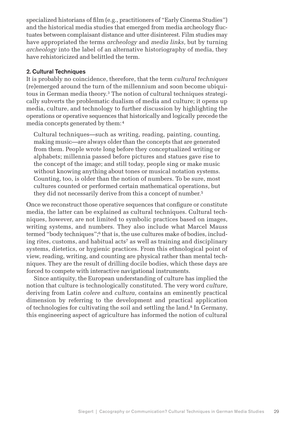specialized historians of film (e.g., practitioners of "Early Cinema Studies") and the historical media studies that emerged from media archeology fluctuates between complaisant distance and utter disinterest. Film studies may have appropriated the terms *archeology* and *media links,* but by turning *archeology* into the label of an alternative historiography of media, they have rehistoricized and belittled the term.

# **2. Cultural Techniques**

It is probably no coincidence, therefore, that the term *cultural techniques* (re)emerged around the turn of the millennium and soon become ubiquitous in German media theory.3 The notion of cultural techniques strategically subverts the problematic dualism of media and culture; it opens up media, culture, and technology to further discussion by highlighting the operations or operative sequences that historically and logically precede the media concepts generated by them: <sup>4</sup>

Cultural techniques—such as writing, reading, painting, counting, making music—are always older than the concepts that are generated from them. People wrote long before they conceptualized writing or alphabets; millennia passed before pictures and statues gave rise to the concept of the image; and still today, people sing or make music without knowing anything about tones or musical notation systems. Counting, too, is older than the notion of numbers. To be sure, most cultures counted or performed certain mathematical operations, but they did not necessarily derive from this a concept of number.<sup>5</sup>

Once we reconstruct those operative sequences that configure or constitute media, the latter can be explained as cultural techniques. Cultural techniques, however, are not limited to symbolic practices based on images, writing systems, and numbers. They also include what Marcel Mauss termed "body techniques";<sup>6</sup> that is, the use cultures make of bodies, including rites, customs, and habitual acts<sup>7</sup> as well as training and disciplinary systems, dietetics, or hygienic practices. From this ethnological point of view, reading, writing, and counting are physical rather than mental techniques. They are the result of drilling docile bodies, which these days are forced to compete with interactive navigational instruments.

Since antiquity, the European understanding of culture has implied the notion that culture is technologically constituted. The very word *culture,* deriving from Latin *colere* and *cultura,* contains an eminently practical dimension by referring to the development and practical application of technologies for cultivating the soil and settling the land.8 In Germany, this engineering aspect of agriculture has informed the notion of cultural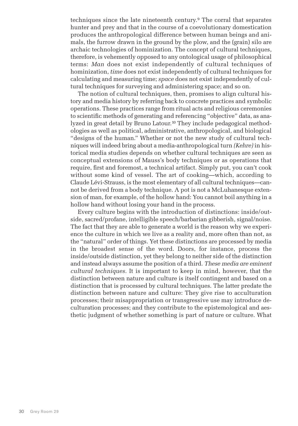techniques since the late nineteenth century.<sup>9</sup> The corral that separates hunter and prey and that in the course of a coevolutionary domestication produces the anthropological difference between human beings and animals, the furrow drawn in the ground by the plow, and the (grain) silo are archaic technologies of hominization. The concept of cultural techniques, therefore, is vehemently opposed to any ontological usage of philosophical terms: *Man* does not exist independently of cultural techniques of hominization, *time* does not exist independently of cultural techniques for calculating and measuring time; *space* does not exist independently of cultural techniques for surveying and administering space; and so on.

The notion of cultural techniques, then, promises to align cultural history and media history by referring back to concrete practices and symbolic operations. These practices range from ritual acts and religious ceremonies to scientific methods of generating and referencing "objective" data, as analyzed in great detail by Bruno Latour.<sup>10</sup> They include pedagogical methodologies as well as political, administrative, anthropological, and biological "designs of the human." Whether or not the new study of cultural techniques will indeed bring about a media-anthropological turn *(Kehre)* in historical media studies depends on whether cultural techniques are seen as conceptual extensions of Mauss's body techniques or as operations that require, first and foremost, a technical artifact. Simply put, you can't cook without some kind of vessel. The art of cooking—which, according to Claude Lévi-Strauss, is the most elementary of all cultural techniques—cannot be derived from a body technique. A pot is not a McLuhanesque extension of man, for example, of the hollow hand: You cannot boil anything in a hollow hand without losing your hand in the process.

Every culture begins with the introduction of distinctions: inside/outside, sacred/profane, intelligible speech/barbarian gibberish, signal/noise. The fact that they are able to generate a world is the reason why we experience the culture in which we live as a reality and, more often than not, as the "natural" order of things. Yet these distinctions are processed by media in the broadest sense of the word. Doors, for instance, process the inside/outside distinction, yet they belong to neither side of the distinction and instead always assume the position of a third. *These media are eminent cultural techniques.* It is important to keep in mind, however, that the distinction between nature and culture is itself contingent and based on a distinction that is processed by cultural techniques. The latter predate the distinction between nature and culture: They give rise to acculturation processes; their misappropriation or transgressive use may introduce deculturation processes; and they contribute to the epistemological and aesthetic judgment of whether something is part of nature or culture. What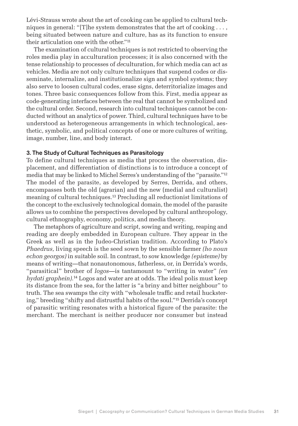Lévi-Strauss wrote about the art of cooking can be applied to cultural techniques in general: "[T]he system demonstrates that the art of cooking . . . , being situated between nature and culture, has as its function to ensure their articulation one with the other."11

The examination of cultural techniques is not restricted to observing the roles media play in acculturation processes; it is also concerned with the tense relationship to processes of *de*culturation, for which media can act as vehicles. Media are not only culture techniques that suspend codes or disseminate, internalize, and institutionalize sign and symbol systems; they also serve to loosen cultural codes, erase signs, deterritorialize images and tones. Three basic consequences follow from this. First, media appear as code-generating interfaces between the real that cannot be symbolized and the cultural order. Second, research into cultural techniques cannot be conducted without an analytics of power. Third, cultural techniques have to be understood as heterogeneous arrangements in which technological, aesthetic, symbolic, and political concepts of one or more cultures of writing, image, number, line, and body interact.

### **3. The Study of Cultural Techniques as Parasitology**

To define cultural techniques as media that process the observation, displacement, and differentiation of distinctions is to introduce a concept of media that may be linked to Michel Serres's understanding of the "parasite."12 The model of the parasite, as developed by Serres, Derrida, and others, encompasses both the old (agrarian) and the new (medial and culturalist) meaning of cultural techniques.13 Precluding all reductionist limitations of the concept to the exclusively technological domain, the model of the parasite allows us to combine the perspectives developed by cultural anthropology, cultural ethnography, economy, politics, and media theory.

The metaphors of agriculture and script, sowing and writing, reaping and reading are deeply embedded in European culture. They appear in the Greek as well as in the Judeo-Christian tradition. According to Plato's *Phaedrus,* living speech is the seed sown by the sensible farmer *(ho noun echon georgos)* in suitable soil. In contrast, to sow knowledge *(episteme)* by means of writing—that nonautonomous, fatherless, or, in Derrida's words, "parasitical" brother of *logos—*is tantamount to "writing in water" *(en hydati graphein).*<sup>14</sup> Logos and water are at odds. The ideal polis must keep its distance from the sea, for the latter is "a briny and bitter neighbour" to truth. The sea swamps the city with "wholesale traffic and retail huckstering," breeding "shifty and distrustful habits of the soul."15 Derrida's concept of parasitic writing resonates with a historical figure of the parasite: the merchant. The merchant is neither producer nor consumer but instead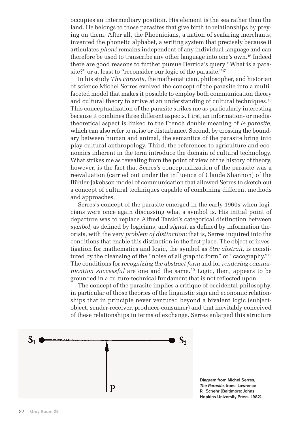occupies an intermediary position. His element is the sea rather than the land. He belongs to those parasites that give birth to relationships by preying on them. After all, the Phoenicians, a nation of seafaring merchants, invented the phonetic alphabet, a writing system that precisely because it articulates *phoné* remains independent of any individual language and can therefore be used to transcribe any other language into one's own.16 Indeed there are good reasons to further pursue Derrida's query "What is a parasite?" or at least to "reconsider our logic of the parasite."17

In his study *The Parasite*, the mathematician, philosopher, and historian of science Michel Serres evolved the concept of the parasite into a multifaceted model that makes it possible to employ both communication theory and cultural theory to arrive at an understanding of cultural techniques.<sup>18</sup> This conceptualization of the parasite strikes me as particularly interesting because it combines three different aspects. First, an information- or mediatheoretical aspect is linked to the French double meaning of *le parasite,* which can also refer to noise or disturbance. Second, by crossing the boundary between human and animal, the semantics of the parasite bring into play cultural anthropology. Third, the references to agriculture and economics inherent in the term introduce the domain of cultural technology. What strikes me as revealing from the point of view of the history of theory, however, is the fact that Serres's conceptualization of the parasite was a reevaluation (carried out under the influence of Claude Shannon) of the Bühler-Jakobson model of communication that allowed Serres to sketch out a concept of cultural techniques capable of combining different methods and approaches.

Serres's concept of the parasite emerged in the early 1960s when logicians were once again discussing what a symbol is. His initial point of departure was to replace Alfred Tarski's categorical distinction between *symbol,* as defined by logicians, and *signal,* as defined by information theorists, with the very *problem of distinction;* that is, Serres inquired into the conditions that enable this distinction in the first place. The object of investigation for mathematics and logic, the symbol as *être abstrait,* is constituted by the cleansing of the "noise of all graphic form" or "cacography."19 The conditions for *recognizing the abstract form* and for *rendering communication successful* are one and the same.20 Logic, then, appears to be grounded in a culture-technical fundament that is not reflected upon.

The concept of the parasite implies a critique of occidental philosophy, in particular of those theories of the linguistic sign and economic relationships that in principle never ventured beyond a bivalent logic (subjectobject, sender-receiver, producer-consumer) and that inevitably conceived of these relationships in terms of exchange. Serres enlarged this structure



**Diagram from Michel Serres,** *The Parasite***, trans. Lawrence R. Schehr (Baltimore: Johns Hopkins University Press, 1982).**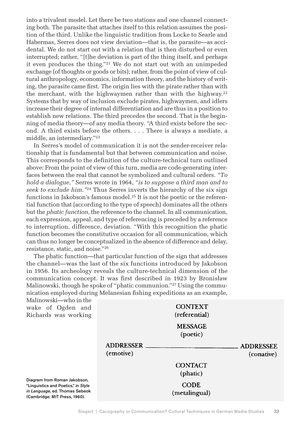into a trivalent model. Let there be two stations and one channel connecting both. The parasite that attaches itself to this relation assumes the position of the third. Unlike the linguistic tradition from Locke to Searle and Habermas, Serres does not view deviation—that is, the parasite—as accidental. We do not start out with a relation that is then disturbed or even interrupted; rather, "[t]he deviation is part of the thing itself, and perhaps it even produces the thing."21 We do not start out with an unimpeded exchange (of thoughts or goods or bits); rather, from the point of view of cultural anthropology, economics, information theory, and the history of writing, the parasite came first. The origin lies with the pirate rather than with the merchant, with the highwaymen rather than with the highway. $22$ Systems that by way of inclusion exclude pirates, highwaymen, and idlers increase their degree of internal differentiation and are thus in a position to establish new relations. The third precedes the second. That is the beginning of media theory—of any media theory. "A third exists before the second. A third exists before the others. . . . There is always a mediate, a middle, an intermediary."23

In Serres's model of communication it is not the sender-receiver relationship that is fundamental but that between communication and noise. This corresponds to the definition of the culture-technical turn outlined above: From the point of view of this turn, media are code-generating interfaces between the real that cannot be symbolized and cultural orders. *"To hold a dialogue,"* Serres wrote in 1964, *"is to suppose a third man and to seek to exclude him."*<sup>24</sup> Thus Serres inverts the hierarchy of the six sign functions in Jakobson's famous model.<sup>25</sup> It is not the poetic or the referential function that (according to the type of speech) dominates all the others but the *phatic function,* the reference to the channel. In all communication, each expression, appeal, and type of referencing is preceded by a reference to interruption, difference, deviation. "With this recognition the phatic function becomes the constitutive occasion for all communication, which can thus no longer be conceptualized in the absence of difference and delay, resistance, static, and noise."26

The phatic function—that particular function of the sign that addresses the channel—was the last of the six functions introduced by Jakobson in 1956. Its archeology reveals the culture-technical dimension of the communication concept. It was first described in 1923 by Bronisław Malinowski, though he spoke of "phatic communion."<sup>27</sup> Using the communication employed during Melanesian fishing expeditions as an example, Malinowski<sup>-1</sup>

| Natinowski—who in the<br>wake of Ogden and<br>Richards was working                                                                     |                               | <b>CONTEXT</b><br>(referential) |                                |
|----------------------------------------------------------------------------------------------------------------------------------------|-------------------------------|---------------------------------|--------------------------------|
|                                                                                                                                        |                               | <b>MESSAGE</b><br>(poetic)      |                                |
|                                                                                                                                        | <b>ADDRESSER</b><br>(emotive) |                                 | <b>ADDRESSEE</b><br>(conative) |
|                                                                                                                                        |                               | <b>CONTACT</b><br>(phatic)      |                                |
| Diagram from Roman Jakobson,<br>"Linguistics and Poetics," in Style<br>in Language, ed. Thomas Sebeok<br>(Cambridge: MIT Press, 1960). |                               | <b>CODE</b><br>(metalingual)    |                                |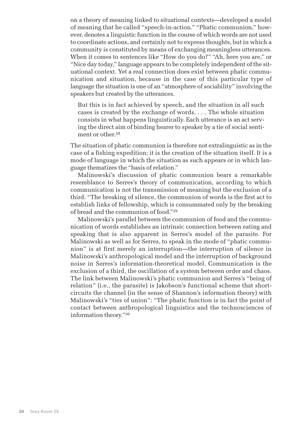on a theory of meaning linked to situational contexts—developed a model of meaning that he called "speech-in-action." "Phatic communion," however, denotes a linguistic function in the course of which words are not used to coordinate actions, and certainly not to express thoughts, but in which a community is constituted by means of exchanging meaningless utterances. When it comes to sentences like "How do you do?" "Ah, here you are," or "Nice day today," language appears to be completely independent of the situational context. Yet a real connection does exist between phatic communication and situation, because in the case of this particular type of language the situation is one of an "atmosphere of sociability" involving the speakers but created by the utterances.

But this is in fact achieved by speech, and the situation in all such cases is created by the exchange of words. . . . The whole situation consists in what happens linguistically. Each utterance is an act serving the direct aim of binding hearer to speaker by a tie of social sentiment or other.<sup>28</sup>

The situation of phatic communion is therefore not extralinguistic as in the case of a fishing expedition; it is the creation of the situation itself. It is a mode of language in which the situation as such appears or in which language thematizes the "basis of relation."

Malinowski's discussion of phatic communion bears a remarkable resemblance to Serres's theory of communication, according to which communication is not the transmission of meaning but the exclusion of a third. "The breaking of silence, the communion of words is the first act to establish links of fellowship, which is consummated only by the breaking of bread and the communion of food."29

Malinowski's parallel between the communion of food and the communication of words establishes an intrinsic connection between eating and speaking that is also apparent in Serres's model of the parasite. For Malinowski as well as for Serres, to speak in the mode of "phatic communion" is at first merely an interruption—the interruption of silence in Malinowski's anthropological model and the interruption of background noise in Serres's information-theoretical model. Communication is the exclusion of a third, the oscillation of a system between order and chaos. The link between Malinowski's phatic communion and Serres's "being of relation" (i.e., the parasite) is Jakobson's functional scheme that shortcircuits the channel (in the sense of Shannon's information theory) with Malinowski's "ties of union": "The phatic function is in fact the point of contact between anthropological linguistics and the technosciences of information theory."30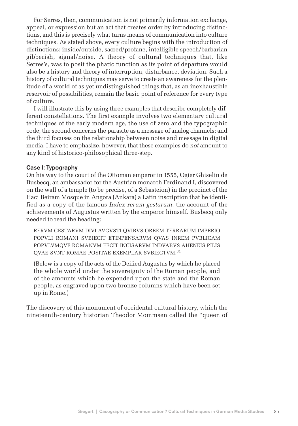For Serres, then, communication is not primarily information exchange, appeal, or expression but an act that creates order by introducing distinctions, and this is precisely what turns means of communication into culture techniques. As stated above, every culture begins with the introduction of distinctions: inside/outside, sacred/profane, intelligible speech/barbarian gibberish, signal/noise. A theory of cultural techniques that, like Serres's, was to posit the phatic function as its point of departure would also be a history and theory of interruption, disturbance, deviation. Such a history of cultural techniques may serve to create an awareness for the plenitude of a world of as yet undistinguished things that, as an inexhaustible reservoir of possibilities, remain the basic point of reference for every type of culture.

I will illustrate this by using three examples that describe completely different constellations. The first example involves two elementary cultural techniques of the early modern age, the use of zero and the typographic code; the second concerns the parasite as a message of analog channels; and the third focuses on the relationship between noise and message in digital media. I have to emphasize, however, that these examples do *not* amount to any kind of historico-philosophical three-step.

# **Case I: Typography**

On his way to the court of the Ottoman emperor in 1555, Ogier Ghiselin de Busbecq, an ambassador for the Austrian monarch Ferdinand I, discovered on the wall of a temple (to be precise, of a Sebasteion) in the precinct of the Haci Beiram Mosque in Angora (Ankara) a Latin inscription that he identified as a copy of the famous *Index rerum gestarum,* the account of the achievements of Augustus written by the emperor himself. Busbecq only needed to read the heading:

RERVM GESTARVM DIVI AVGVSTI QVIBVS ORBEM TERRARUM IMPERIO POPVLI ROMANI SVBIECIT ETINPENSARVM QVAS INREM PVBLICAM POPVLVMQVE ROMANVM FECIT INCISARVM INDVABVS AHENEIS PILIS QVAE SVNT ROMAE POSITAE EXEMPLAR SVBIECTVM.<sup>31</sup>

(Below is a copy of the acts of the Deified Augustus by which he placed the whole world under the sovereignty of the Roman people, and of the amounts which he expended upon the state and the Roman people, as engraved upon two bronze columns which have been set up in Rome.)

The discovery of this monument of occidental cultural history, which the nineteenth-century historian Theodor Mommsen called the "queen of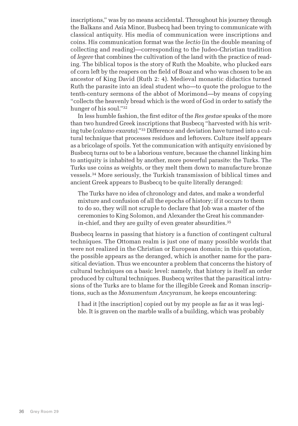inscriptions," was by no means accidental. Throughout his journey through the Balkans and Asia Minor, Busbecq had been trying to communicate with classical antiquity. His media of communication were inscriptions and coins. His communication format was the *lectio* (in the double meaning of collecting and reading)—corresponding to the Judeo-Christian tradition of *legere* that combines the cultivation of the land with the practice of reading. The biblical topos is the story of Ruth the Moabite, who plucked ears of corn left by the reapers on the field of Boaz and who was chosen to be an ancestor of King David (Ruth 2: 4). Medieval monastic didactics turned Ruth the parasite into an ideal student who—to quote the prologue to the tenth-century sermons of the abbot of Morimond—by means of copying "collects the heavenly bread which is the word of God in order to satisfy the hunger of his soul."32

In less humble fashion, the first editor of the *Res gestae* speaks of the more than two hundred Greek inscriptions that Busbecq "harvested with his writing tube (*calamo exarata*)."33 Difference and deviation have turned into a cultural technique that processes residues and leftovers. Culture itself appears as a bricolage of spoils. Yet the communication with antiquity envisioned by Busbecq turns out to be a laborious venture, because the channel linking him to antiquity is inhabited by another, more powerful parasite: the Turks. The Turks use coins as weights, or they melt them down to manufacture bronze vessels.34 More seriously, the Turkish transmission of biblical times and ancient Greek appears to Busbecq to be quite literally deranged:

The Turks have no idea of chronology and dates, and make a wonderful mixture and confusion of all the epochs of history; if it occurs to them to do so, they will not scruple to declare that Job was a master of the ceremonies to King Solomon, and Alexander the Great his commanderin-chief, and they are guilty of even greater absurdities.<sup>35</sup>

Busbecq learns in passing that history is a function of contingent cultural techniques. The Ottoman realm is just one of many possible worlds that were not realized in the Christian or European domain; in this quotation, the possible appears as the deranged, which is another name for the parasitical deviation. Thus we encounter a problem that concerns the history of cultural techniques on a basic level: namely, that history is itself an order produced by cultural techniques. Busbecq writes that the parasitical intrusions of the Turks are to blame for the illegible Greek and Roman inscriptions, such as the *Monumentum Ancyranum,* he keeps encountering:

I had it [the inscription] copied out by my people as far as it was legible. It is graven on the marble walls of a building, which was probably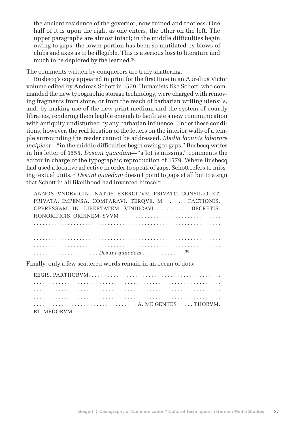the ancient residence of the governor, now ruined and roofless. One half of it is upon the right as one enters, the other on the left. The upper paragraphs are almost intact; in the middle difficulties begin owing to gaps; the lower portion has been so mutilated by blows of clubs and axes as to be illegible. This is a serious loss to literature and much to be deplored by the learned.36

The comments written by conquerors are truly shattering.

Busbecq's copy appeared in print for the first time in an Aurelius Victor volume edited by Andreas Schott in 1579. Humanists like Schott, who commanded the new typographic storage technology, were charged with removing fragments from stone, or from the reach of barbarian writing utensils, and, by making use of the new print medium and the system of courtly libraries, rendering them legible enough to facilitate a new communication with antiquity undisturbed by any barbarian influence. Under these conditions, however, the real location of the letters on the interior walls of a temple surrounding the reader cannot be addressed. *Media lacunis laborare incipient—*"in the middle difficulties begin owing to gaps," Busbecq writes in his letter of 1555. *Desunt quaedam—*"a lot is missing," comments the editor in charge of the typographic reproduction of 1579. Where Busbecq had used a locative adjective in order to speak of gaps, Schott refers to missing textual units.37 *Desunt quaedam* doesn't point to gaps at all but to a sign that Schott in all likelihood had invented himself:

| ANNOS, VNDEVIGINI, NATUS, EXERCITVM, PRIVATO, CONSILIO, ET. |
|-------------------------------------------------------------|
| PRIVATA. IMPENSA. COMPARAVI. TEROVE. M FACTIONIS.           |
| OPPRESSAM. IN. LIBERTATEM. VINDICAVI DECRETIS.              |
|                                                             |
|                                                             |
|                                                             |
|                                                             |
|                                                             |
| $\cdots$ Desunt quaedam <sup>38</sup>                       |

Finally, only a few scattered words remain in an ocean of dots:

| A. ME GENTES  THORVM. |  |  |  |  |  |  |  |  |  |  |  |  |  |  |  |  |  |  |  |  |  |  |  |  |  |
|-----------------------|--|--|--|--|--|--|--|--|--|--|--|--|--|--|--|--|--|--|--|--|--|--|--|--|--|
|                       |  |  |  |  |  |  |  |  |  |  |  |  |  |  |  |  |  |  |  |  |  |  |  |  |  |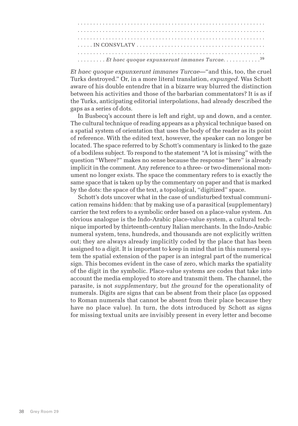| Et haec quoque expunxerunt immanes Turcae <sup>39</sup> |  |  |  |  |  |  |  |  |  |  |  |  |  |  |  |  |  |  |  |  |  |  |  |  |  |  |  |  |  |  |  |  |  |  |  |  |  |  |  |  |  |  |
|---------------------------------------------------------|--|--|--|--|--|--|--|--|--|--|--|--|--|--|--|--|--|--|--|--|--|--|--|--|--|--|--|--|--|--|--|--|--|--|--|--|--|--|--|--|--|--|

*Et haec quoque expunxerunt immanes Turcae*—"and this, too, the cruel Turks destroyed." Or, in a more literal translation, *expunged.* Was Schott aware of his double entendre that in a bizarre way blurred the distinction between his activities and those of the barbarian commentators? It is as if the Turks, anticipating editorial interpolations, had already described the gaps as a series of dots.

In Busbecq's account there is left and right, up and down, and a center. The cultural technique of reading appears as a physical technique based on a spatial system of orientation that uses the body of the reader as its point of reference. With the edited text, however, the speaker can no longer be located. The space referred to by Schott's commentary is linked to the gaze of a bodiless subject. To respond to the statement "A lot is missing" with the question "Where?" makes no sense because the response "here" is already implicit in the comment. Any reference to a three- or two-dimensional monument no longer exists. The space the commentary refers to is exactly the same space that is taken up by the commentary on paper and that is marked by the dots: the space of the text, a topological, "digitized" space.

Schott's dots uncover what in the case of undisturbed textual communication remains hidden: that by making use of a parasitical (supplementary) carrier the text refers to a symbolic order based on a place-value system. An obvious analogue is the Indo-Arabic place-value system, a cultural technique imported by thirteenth-century Italian merchants. In the Indo-Arabic numeral system, tens, hundreds, and thousands are not explicitly written out; they are always already implicitly coded by the place that has been assigned to a digit. It is important to keep in mind that in this numeral system the spatial extension of the paper is an integral part of the numerical sign. This becomes evident in the case of zero, which marks the spatiality of the digit in the symbolic. Place-value systems are codes that take into account the media employed to store and transmit them. The channel, the parasite, is not *supplementary,* but *the ground* for the operationality of numerals. Digits are signs that can be absent from their place (as opposed to Roman numerals that cannot be absent from their place because they have no place value). In turn, the dots introduced by Schott as signs for missing textual units are invisibly present in every letter and become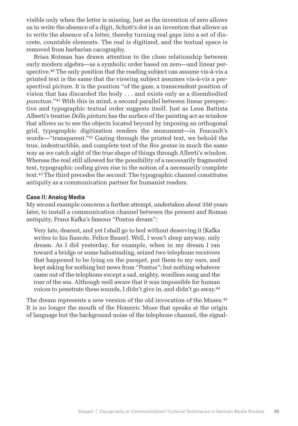visible only when the letter is missing. Just as the invention of zero allows us to write the absence of a digit, Schott's dot is an invention that allows us to write the absence of a letter, thereby turning real gaps into a set of discrete, countable elements. The real is digitized, and the textual space is removed from barbarian cacography.

Brian Rotman has drawn attention to the close relationship between early modern algebra—as a symbolic order based on zero—and linear perspective.40 The only position that the reading subject can assume vis-à-vis a printed text is the same that the viewing subject assumes vis-à-vis a perspectival picture. It is the position "of the gaze, a transcendent position of vision that has discarded the body . . . and exists only as a disembodied *punctum.*"41 With this in mind, a second parallel between linear perspective and typographic textual order suggests itself. Just as Leon Battista Alberti's treatise *Della pintura* has the surface of the painting act as window that allows us to see the objects located beyond by imposing an orthogonal grid, typographic digitization renders the monument—in Foucault's words—"transparent."42 Gazing through the printed text, we behold the true, indestructible, and complete text of the *Res gestae* in much the same way as we catch sight of the true shape of things through Alberti's window. Whereas the real still allowed for the possibility of a necessarily fragmented text, typographic coding gives rise to the notion of a necessarily complete text.43 The third precedes the second: The typographic channel constitutes antiquity as a communication partner for humanist readers.

# **Case II: Analog Media**

My second example concerns a further attempt, undertaken about 350 years later, to install a communication channel between the present and Roman antiquity, Franz Kafka's famous "Pontus dream":

Very late, dearest, and yet I shall go to bed without deserving it [Kafka writes to his fiancée, Felice Bauer]. Well, I won't sleep anyway, only dream. As I did yesterday, for example, when in my dream I ran toward a bridge or some balustrading, seized two telephone receivers that happened to be lying on the parapet, put them to my ears, and kept asking for nothing but news from "Pontus"; but nothing whatever came out of the telephone except a sad, mighty, wordless song and the roar of the sea. Although well aware that it was impossible for human voices to penetrate these sounds, I didn't give in, and didn't go away.<sup>44</sup>

The dream represents a new version of the old invocation of the Muses.<sup>45</sup> It is no longer the mouth of the Homeric Muse that speaks at the origin of language but the background noise of the telephone channel, the signal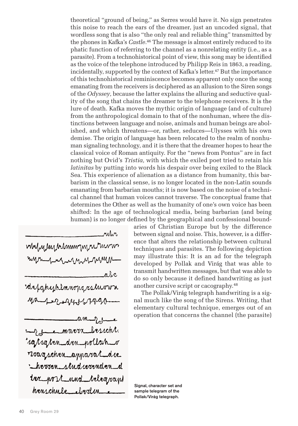theoretical "ground of being," as Serres would have it. No sign penetrates this noise to reach the ears of the dreamer, just an uncoded signal, that wordless song that is also "the only real and reliable thing" transmitted by the phones in Kafka's *Castle.*<sup>46</sup> The message is almost entirely reduced to its phatic function of referring to the channel as a nonrelating entity (i.e., as a parasite). From a technohistorical point of view, this song may be identified as the voice of the telephone introduced by Philipp Reis in 1863, a reading, incidentally, supported by the context of Kafka's letter.47 But the importance of this technohistorical reminiscence becomes apparent only once the song emanating from the receivers is deciphered as an allusion to the Siren songs of the *Odyssey,* because the latter explains the alluring and seductive quality of the song that chains the dreamer to the telephone receivers. It is the lure of death. Kafka moves the mythic origin of language (and of culture) from the anthropological domain to that of the nonhuman, where the distinctions between language and noise, animals and human beings are abolished, and which threatens—or, rather, seduces—Ulysses with his own demise. The origin of language has been relocated to the realm of nonhuman signaling technology, and it is there that the dreamer hopes to hear the classical voice of Roman antiquity. For the "news from Pontus" are in fact nothing but Ovid's *Tristia,* with which the exiled poet tried to retain his *latinitas* by putting into words his despair over being exiled to the Black Sea. This experience of alienation as a distance from humanity, this barbarism in the classical sense, is no longer located in the non-Latin sounds emanating from barbarian mouths; it is now based on the noise of a technical channel that human voices cannot traverse. The conceptual frame that determines the Other as well as the humanity of one's own voice has been shifted: In the age of technological media, being barbarian (and being human) is no longer defined by the geographical and confessional bound-

nitin mm/w/m/mmmmm/mmm defaher remondershivin enterations  $\mu$ m $\rightarrow$ - ge emavers besicht. 'ratratrendenpollan vous rehen apparat die -herren studierenden d ter post und telearant henschule elvereling

aries of Christian Europe but by the difference between signal and noise. This, however, is a difference that alters the relationship between cultural techniques and parasites. The following depiction may illustrate this: It is an ad for the telegraph developed by Pollak and Virág that was able to transmit handwritten messages, but that was able to do so only because it defined handwriting as just another cursive script or cacography.48

The Pollak/Virág telegraph handwriting is a signal much like the song of the Sirens. Writing, that elementary cultural technique, emerges out of an operation that concerns the channel (the parasite)

**Signal, character set and sample telegram of the Pollak/Virág telegraph.**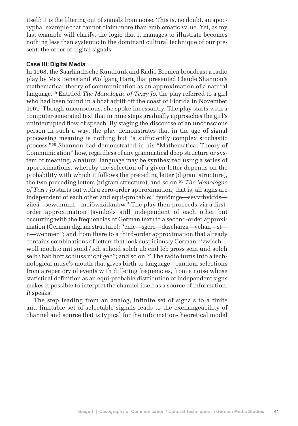itself: It is the filtering out of signals from noise. This is, no doubt, an apocryphal example that cannot claim more than emblematic value. Yet, as my last example will clarify, the logic that it manages to illustrate becomes nothing less than systemic in the dominant cultural technique of our present: the order of digital signals.

# **Case III: Digital Media**

In 1968, the Saarländische Rundfunk and Radio Bremen broadcast a radio play by Max Bense and Wolfgang Harig that presented Claude Shannon's mathematical theory of communication as an approximation of a natural language.49 Entitled *The Monologue of Terry Jo,* the play referred to a girl who had been found in a boat adrift off the coast of Florida in November 1961. Though unconscious, she spoke incessantly. The play starts with a computer-generated text that in nine steps gradually approaches the girl's uninterrupted flow of speech. By staging the discourse of an unconscious person in such a way, the play demonstrates that in the age of signal processing meaning is nothing but "a sufficiently complex stochastic process."50 Shannon had demonstrated in his "Mathematical Theory of Communication" how, regardless of any grammatical deep structure or system of meaning, a natural language may be synthesized using a series of approximations, whereby the selection of a given letter depends on the probability with which it follows the preceding letter (digram structure), the two preceding letters (trigram structure), and so on.51 *The Monologue of Terry Jo* starts out with a zero-order approximation; that is, all signs are independent of each other and equi-probable: "fyuiömge—sevvrhvkfds züeä—sewdmnhf—mciöwzäikmbw." The play then proceeds via a firstorder approximation (symbols still independent of each other but occurring with the frequencies of German text) to a second-order approximation (German digram structure): "enie—sgere—dascharza—vehan—st n—wenmen"; and from there to a third-order approximation that already contains combinations of letters that look suspiciously German: "zwisch woll möchte mit sond / ich scheid solch üb end leb gross sein und solch selb/hab hoff schluss nicht geb"; and so on.<sup>52</sup> The radio turns into a technological muse's mouth that gives birth to language—random selections from a repertory of events with differing frequencies, from a noise whose statistical definition as an equi-probable distribution of independent signs makes it possible to interpret the channel itself as a source of information. *It* speaks.

The step leading from an analog, infinite set of signals to a finite and limitable set of selectable signals leads to the exchangeability of channel and source that is typical for the information-theoretical model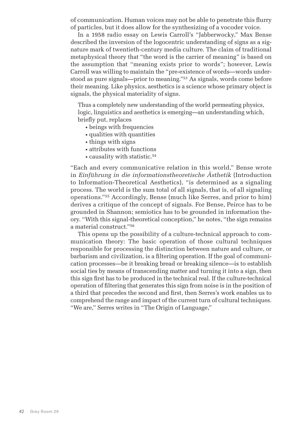of communication. Human voices may not be able to penetrate this flurry of particles, but it does allow for the synthesizing of a vocoder voice.

In a 1958 radio essay on Lewis Carroll's "Jabberwocky," Max Bense described the inversion of the logocentric understanding of signs as a signature mark of twentieth-century media culture. The claim of traditional metaphysical theory that "the word is the carrier of meaning" is based on the assumption that "meaning exists prior to words"; however, Lewis Carroll was willing to maintain the "pre-existence of words—words understood as pure signals—prior to meaning."53 As signals, words come before their meaning. Like physics, aesthetics is a science whose primary object is signals, the physical materiality of signs.

Thus a completely new understanding of the world permeating physics, logic, linguistics and aesthetics is emerging—an understanding which, briefly put, replaces

- beings with frequencies
- qualities with quantities
- things with signs
- attributes with functions
- causality with statistic.<sup>54</sup>

"Each and every communicative relation in this world," Bense wrote in *Einführung in die informationstheoretische Ästhetik* (Introduction to Information-Theoretical Aesthetics), "is determined as a signaling process. The world is the sum total of all signals, that is, of all signaling operations."55 Accordingly, Bense (much like Serres, and prior to him) derives a critique of the concept of signals. For Bense, Peirce has to be grounded in Shannon; semiotics has to be grounded in information theory. "With this signal-theoretical conception," he notes, "the sign remains a material construct."56

This opens up the possibility of a culture-technical approach to communication theory: The basic operation of those cultural techniques responsible for processing the distinction between nature and culture, or barbarism and civilization, is a filtering operation. If the goal of communication processes—be it breaking bread or breaking silence—is to establish social ties by means of transcending matter and turning it into a sign, then this sign first has to be produced in the technical real. If the culture-technical operation of filtering that generates this sign from noise is in the position of a third that precedes the second and first, then Serres's work enables us to comprehend the range and impact of the current turn of cultural techniques. "We are," Serres writes in "The Origin of Language,"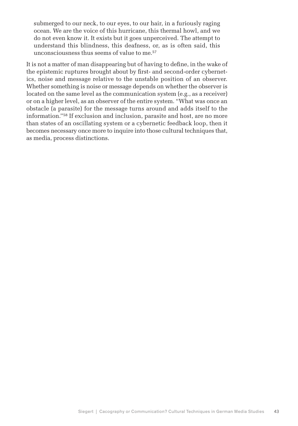submerged to our neck, to our eyes, to our hair, in a furiously raging ocean. We are the voice of this hurricane, this thermal howl, and we do not even know it. It exists but it goes unperceived. The attempt to understand this blindness, this deafness, or, as is often said, this unconsciousness thus seems of value to me.<sup>57</sup>

It is not a matter of man disappearing but of having to define, in the wake of the epistemic ruptures brought about by first- and second-order cybernetics, noise and message relative to the unstable position of an observer. Whether something is noise or message depends on whether the observer is located on the same level as the communication system (e.g., as a receiver) or on a higher level, as an observer of the entire system. "What was once an obstacle (a parasite) for the message turns around and adds itself to the information."58 If exclusion and inclusion, parasite and host, are no more than states of an oscillating system or a cybernetic feedback loop, then it becomes necessary once more to inquire into those cultural techniques that, as media, process distinctions.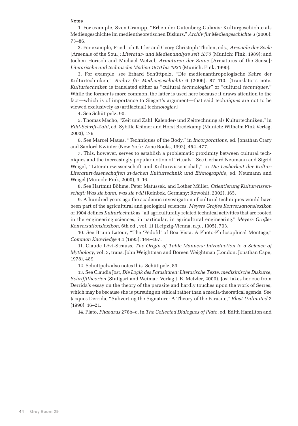#### **Notes**

1. For example, Sven Grampp, "Erben der Gutenberg-Galaxis: Kulturgeschichte als Mediengeschichte im medientheoretischen Diskurs," *Archiv für Mediengeschichte* 6 (2006): 73–86.

2. For example, Friedrich Kittler and Georg Christoph Tholen, eds*., Arsenale der Seele* [Arsenals of the Soul]*: Literatur- und Medienanalyse seit 1870* (Munich: Fink, 1989); and Jochen Hörisch and Michael Wetzel, *Armaturen der Sinne* [Armatures of the Sense]*: Literarische und technische Medien 1870 bis 1920* (Munich: Fink, 1990).

3. For example, see Erhard Schüttpelz, "Die medienanthropologische Kehre der Kulturtechniken," *Archiv für Mediengeschichte* 6 (2006): 87–110. [Translator's note: *Kulturtechniken* is translated either as "cultural *technologies*" or "cultural *techniques.*" While the former is more common, the latter is used here because it draws attention to the fact—which is of importance to Siegert's argument—that said tech*niques* are not to be viewed exclusively as (artifactual) techn*ologies.*]

4. See Schüttpelz, 90.

5. Thomas Macho, "Zeit und Zahl: Kalender- und Zeitrechnung als Kulturtechniken," in *Bild-Schrift-Zahl,* ed. Sybille Krämer and Horst Bredekamp (Munich: Wilhelm Fink Verlag, 2003), 179.

6. See Marcel Mauss, "Techniques of the Body," in *Incorporations,* ed. Jonathan Crary and Sanford Kwinter (New York: Zone Books, 1992), 454–477.

7. This, however, serves to establish a problematic proximity between cultural techniques and the increasingly popular notion of "rituals." See Gerhard Neumann and Sigrid Weigel, "Literaturwissenschaft und Kulturwissenschaft," in *Die Lesbarkeit der Kultur: Literaturwissenschaften zwischen Kulturtechnik und Ethnographie,* ed. Neumann and Weigel (Munich: Fink, 2000), 9–16.

8. See Hartmut Böhme, Peter Matussek, and Lother Müller, *Orientierung Kulturwissenschaft: Was sie kann, was sie will* (Reinbek, Germany: Rowohlt, 2002), 165.

9. A hundred years ago the academic investigation of cultural techniques would have been part of the agricultural and geological sciences. *Meyers Großes Konversationslexikon* of 1904 defines *Kulturtechnik* as "all agriculturally related technical activities that are rooted in the engineering sciences, in particular, in agricultural engineering." *Meyers Großes Konversationslexikon,* 6th ed., vol. 11 (Leipzig-Vienna, n.p., 1905), 793.

10. See Bruno Latour, "The 'Pédofil' of Boa Vista: A Photo-Philosophical Montage," *Common Knowledge* 4.1 (1995): 144–187.

11. Claude Lévi-Strauss*, The Origin of Table Manners: Introduction to a Science of Mythology,* vol. 3, trans. John Weightman and Doreen Weightman (London: Jonathan Cape, 1978), 489.

12. Schüttpelz also notes this. Schüttpelz, 89.

13. See Claudia Jost, *Die Logik des Parasitären: Literarische Texte, medizinische Diskurse, Schriffttheorien* (Stuttgart and Weimar: Verlag J. B. Metzler, 2000). Jost takes her cue from Derrida's essay on the theory of the parasite and hardly touches upon the work of Serres, which may be because she is pursuing an ethical rather than a media-theoretical agenda. See Jacques Derrida, "Subverting the Signature: A Theory of the Parasite," *Blast Unlimited* 2 (1990): 16–21.

14. Plato, *Phaedrus* 276b–c, in *The Collected Dialogues of Plato,* ed. Edith Hamilton and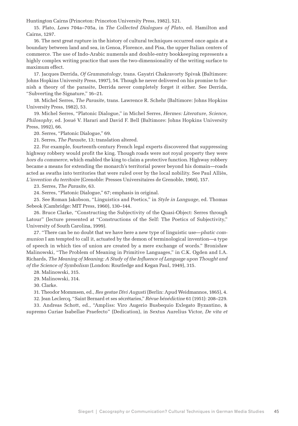Huntington Cairns (Princeton: Princeton University Press, 1982), 521.

15. Plato, *Laws* 704a–705a, in *The Collected Dialogues of Plato,* ed. Hamilton and Cairns, 1297.

16. The next great rupture in the history of cultural techniques occurred once again at a boundary between land and sea, in Genoa, Florence, and Pisa, the upper Italian centers of commerce. The use of Indo-Arabic numerals and double-entry bookkeeping represents a highly complex writing practice that uses the two-dimensionality of the writing surface to maximum effect.

17. Jacques Derrida, *Of Grammatology,* trans. Gayatri Chakravorty Spivak (Baltimore: Johns Hopkins University Press, 1997), 54. Though he never delivered on his promise to furnish a theory of the parasite, Derrida never completely forget it either. See Derrida, "Subverting the Signature," 16–21.

18. Michel Serres, *The Parasite,* trans. Lawrence R. Schehr (Baltimore: Johns Hopkins University Press, 1982), 53.

19. Michel Serres, "Platonic Dialogue," in Michel Serres, *Hermes: Literature, Science, Philosophy,* ed. Josué V. Harari and David F. Bell (Baltimore: Johns Hopkins University Press, 1992), 66.

20. Serres, "Platonic Dialogue," 69.

21. Serres, *The Parasite,* 13; translation altered.

22. For example, fourteenth-century French legal experts discovered that suppressing highway robbery would profit the king. Though roads were not royal property they were *hors du commerce,* which enabled the king to claim a protective function. Highway robbery became a means for extending the monarch's territorial power beyond his domain—roads acted as swaths into territories that were ruled over by the local nobility. See Paul Alliès, *L'invention du territoire* (Grenoble: Presses Universitaires de Grenoble, 1960), 157.

23. Serres, *The Parasite,* 63.

24. Serres, "Platonic Dialogue," 67; emphasis in original.

25. See Roman Jakobson, "Linguistics and Poetics," in *Style in Language,* ed. Thomas Sebeok (Cambridge: MIT Press, 1960), 130–144.

26. Bruce Clarke, "Constructing the Subjectivity of the Quasi-Object: Serres through Latour" (lecture presented at "Constructions of the Self: The Poetics of Subjectivity," University of South Carolina, 1999).

27. "There can be no doubt that we have here a new type of linguistic use—*phatic communion* I am tempted to call it, actuated by the demon of terminological invention—a type of speech in which ties of union are created by a mere exchange of words." Bronisław Malinowski, "The Problem of Meaning in Primitive Languages," in C.K. Ogden and I.A. Richards, *The Meaning of Meaning: A Study of the Influence of Language upon Thought and of the Science of Symbolism* (London: Routledge and Kegan Paul, 1949), 315.

28. Malinowski, 315.

29. Malinowski, 314.

30. Clarke.

31. Theodor Mommsen, ed., *Res gestae Divi Augusti* (Berlin: Apud Weidmannos, 1865), 4.

32. Jean Leclercq, "Saint Bernard et ses sécrétaries," *Révue bénédictine* 61 (1951): 208–229.

33. Andreas Schott, ed., "Ampliss: Viro Augerio Busbequio Exlegato Byzantino, & supremo Curiae Isabellae Praefecto" (Dedication), in Sextus Aurelius Victor, *De vita et*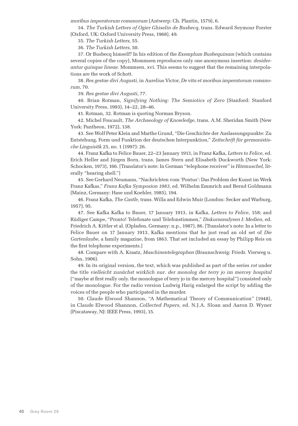*moribus imperatorum romanorum* (Antwerp: Ch. Plantin, 1579), 6.

34. *The Turkish Letters of Ogier Ghiselin de Busbecq,* trans. Edward Seymour Forster (Oxford, UK: Oxford University Press, 1968), 49.

35. *The Turkish Letters,* 55.

36. *The Turkish Letters,* 50.

37. Or Busbecq himself? In his edition of the *Exemplum Busbequinam* (which contains several copies of the copy), Mommsen reproduces only one anonymous insertion: *desiderantur quinque lineae.* Mommsen, xvi. This seems to suggest that the remaining interpolations are the work of Schott.

38. *Res gestae divi Augusti,* in Aurelius Victor, *De vita et moribus imperatorum romanorum,* 70.

39. *Res gestae divi Augusti,* 77.

40. Brian Rotman, *Signifying Nothing: The Semiotics of Zero* (Stanford: Stanford University Press, 1993), 14–22, 28–46.

41. Rotman, 32. Rotman is quoting Norman Bryson.

42. Michel Foucault, *The Archaeology of Knowledge,* trans. A.M. Sheridan Smith (New York: Pantheon, 1972), 138.

43. See Wolf Peter Klein and Marthe Grund, "Die Geschichte der Auslassungspunkte: Zu Entstehung, Form und Funktion der deutschen Interpunktion," *Zeitschrift für germanistische Linguisitk* 25, no. 1 (1997): 26.

44. Franz Kafka to Felice Bauer, 22–23 January 1913, in Franz Kafka, *Letters to Felice,* ed. Erich Heller and Jürgen Born, trans. James Stern and Elisabeth Duckworth (New York: Schocken, 1973), 166. [Translator's note: In German "telephone receiver" is *Hörmuschel,* literally "hearing shell."]

45. See Gerhard Neumann, "Nachrichten vom 'Pontus': Das Problem der Kunst im Werk Franz Kafkas," *Franz Kafka Symposion 1983,* ed. Wilhelm Emmrich and Bernd Goldmann (Mainz, Germany: Hase und Koehler, 1985), 194.

46. Franz Kafka, *The Castle,* trans. Willa and Edwin Muir (London: Secker and Warburg, 1957), 95.

47. See Kafka Kafka to Bauer, 17 January 1913, in Kafka, *Letters to Felice,* 158; and Rüdiger Campe, "Pronto! Telefonate und Telefonstimmen," *Diskursanalysen I: Medien,* ed. Friedrich A. Kittler et al. (Opladen, Germany: n.p., 1987), 86. [Translator's note: In a letter to Felice Bauer on 17 January 1913, Kafka mentions that he just read an old set of *Die Gartenlaube,* a family magazine, from 1863. That set included an essay by Philipp Reis on the first telephone experiments.]

48. Compare with A. Kraatz, *Maschinentelegraphen* (Braunschweig: Friedr. Vierweg u. Sohn, 1906).

49. In its original version, the text, which was published as part of the series *rot* under the title *vielleicht zunächst wirklich nur. der monolog der terry jo im mercey hospital* ("maybe at first really only. the monologue of terry jo in the mercey hospital") consisted only of the monologue. For the radio version Ludwig Harig enlarged the script by adding the voices of the people who participated in the murder.

50. Claude Elwood Shannon, "A Mathematical Theory of Communication" (1948), in Claude Elwood Shannon, *Collected Papers,* ed. N.J.A. Sloan and Aaron D. Wyner (Piscataway, NJ: IEEE Press, 1993), 15.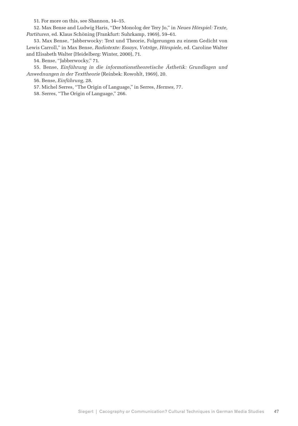51. For more on this, see Shannon, 14–15.

52. Max Bense and Ludwig Haris, "Der Monolog der Tery Jo," in *Neues Hörspiel: Texte, Partituren,* ed. Klaus Schöning (Frankfurt: Suhrkamp, 1969), 59–61.

53. Max Bense, "Jabberwocky: Text und Theorie, Folgerungen zu einem Gedicht von Lewis Carroll," in Max Bense, *Radiotexte: Essays, Voträge, Hörspiele,* ed. Caroline Walter and Elisabeth Walter (Heidelberg: Winter, 2000), 71.

54. Bense, "Jabberwocky," 71.

55. Bense, *Einführung in die informationstheoretische Ästhetik: Grundlagen und Anwednungen in der Texttheorie* (Reinbek: Rowohlt, 1969), 20.

56. Bense, *Einführung,* 28.

57. Michel Serres, "The Origin of Language," in Serres, *Hermes,* 77.

58. Serres, "The Origin of Language," 266.